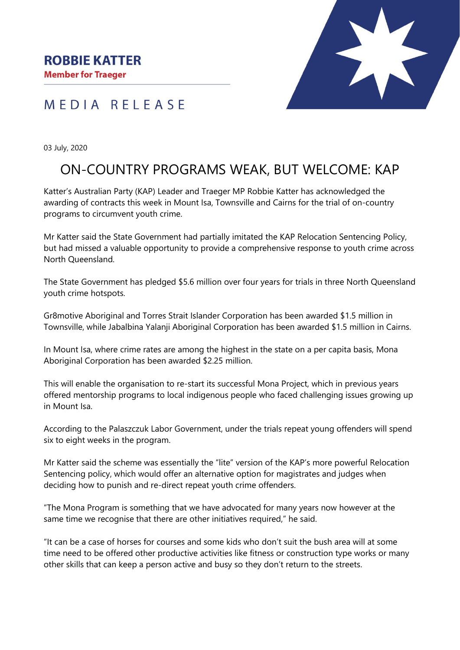MEDIA RELEASE



03 July, 2020

## ON-COUNTRY PROGRAMS WEAK, BUT WELCOME: KAP

Katter's Australian Party (KAP) Leader and Traeger MP Robbie Katter has acknowledged the awarding of contracts this week in Mount Isa, Townsville and Cairns for the trial of on-country programs to circumvent youth crime.

Mr Katter said the State Government had partially imitated the KAP Relocation Sentencing Policy, but had missed a valuable opportunity to provide a comprehensive response to youth crime across North Queensland.

The State Government has pledged \$5.6 million over four years for trials in three North Queensland youth crime hotspots.

Gr8motive Aboriginal and Torres Strait Islander Corporation has been awarded \$1.5 million in Townsville, while Jabalbina Yalanji Aboriginal Corporation has been awarded \$1.5 million in Cairns.

In Mount Isa, where crime rates are among the highest in the state on a per capita basis, Mona Aboriginal Corporation has been awarded \$2.25 million.

This will enable the organisation to re-start its successful Mona Project, which in previous years offered mentorship programs to local indigenous people who faced challenging issues growing up in Mount Isa.

According to the Palaszczuk Labor Government, under the trials repeat young offenders will spend six to eight weeks in the program.

Mr Katter said the scheme was essentially the "lite" version of the KAP's more powerful Relocation Sentencing policy, which would offer an alternative option for magistrates and judges when deciding how to punish and re-direct repeat youth crime offenders.

"The Mona Program is something that we have advocated for many years now however at the same time we recognise that there are other initiatives required," he said.

"It can be a case of horses for courses and some kids who don't suit the bush area will at some time need to be offered other productive activities like fitness or construction type works or many other skills that can keep a person active and busy so they don't return to the streets.